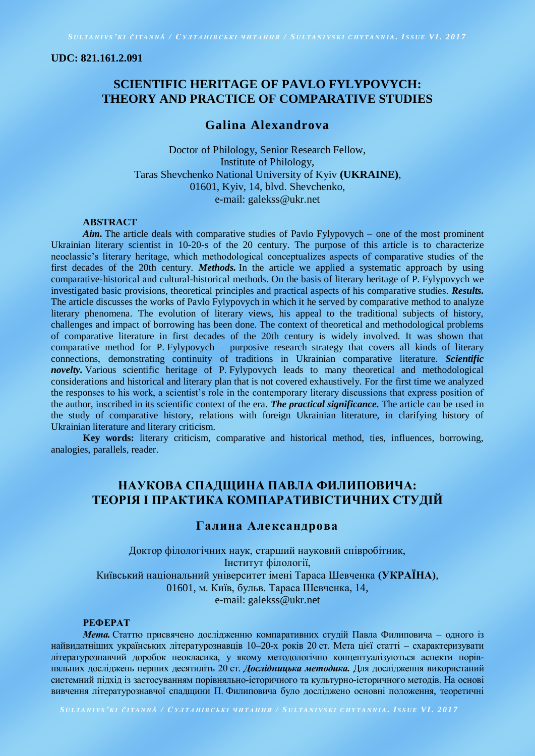#### **UDC: 821.161.2.091**

# **SCIENTIFIC HERITAGE OF PAVLO FYLYPOVYCH: THEORY AND PRACTICE OF COMPARATIVE STUDIES**

## **Galina Alexandrova**

Doctor of Philology, Senior Research Fellow, Institute of Philology, Taras Shevchenko National University of Kyiv **(UKRAINE)**, 01601, Kyiv, 14, blvd. Shevchenko, e-mail: galekss@ukr.net

### **ABSTRACT**

*Aim.* The article deals with comparative studies of Pavlo Fylypovych – one of the most prominent Ukrainian literary scientist in 10-20-s of the 20 century. The purpose of this article is to characterize neoclassic's literary heritage, which methodological conceptualizes aspects of comparative studies of the first decades of the 20th century. *Methods.* In the article we applied a systematic approach by using comparative-historical and cultural-historical methods. On the basis of literary heritage of P. Fylypovych we investigated basic provisions, theoretical principles and practical aspects of his comparative studies. *Results.*  The article discusses the works of Pavlo Fylypovych in which it he served by comparative method to analyze literary phenomena. The evolution of literary views, his appeal to the traditional subjects of history, challenges and impact of borrowing has been done. The context of theoretical and methodological problems of comparative literature in first decades of the 20th century is widely involved. It was shown that comparative method for P. Fylypovych – purposive research strategy that covers all kinds of literary connections, demonstrating continuity of traditions in Ukrainian comparative literature. *Scientific novelty*. Various scientific heritage of P. Fylypovych leads to many theoretical and methodological considerations and historical and literary plan that is not covered exhaustively. For the first time we analyzed the responses to his work, a scientist's role in the contemporary literary discussions that express position of the author, inscribed in its scientific context of the era. *The practical significance.* The article can be used in the study of comparative history, relations with foreign Ukrainian literature, in clarifying history of Ukrainian literature and literary criticism.

**Key words:** literary criticism, comparative and historical method, ties, influences, borrowing, analogies, parallels, reader.

## **НАУКОВА СПАДЩИНА ПАВЛА ФИЛИПОВИЧА: ТЕОРІЯ І ПРАКТИКА КОМПАРАТИВІСТИЧНИХ СТУДІЙ**

## **Галина Александрова**

Доктор філологічних наук, старший науковий співробітник, Інститут філології, Київський національний університет імені Тараса Шевченка **(УКРАЇНА)**, 01601, м. Київ, бульв. Тараса Шевченка, 14, e-mail: galekss@ukr.net

### **РЕФЕРАТ**

*Мета.* Статтю присвячено дослідженню компаративних студій Павла Филиповича – одного із найвидатніших українських літературознавців 10–20-х років 20 ст. Мета цієї статті – схарактеризувати літературознавчий доробок неокласика, у якому методологічно концептуалізуються аспекти порівняльних досліджень перших десятиліть 20 ст. *Дослідницька методика.* Для дослідження використаний системний підхід із застосуванням порівняльно-історичного та культурно-історичного методів. На основі вивчення літературознавчої спадщини П. Филиповича було досліджено основні положення, теоретичні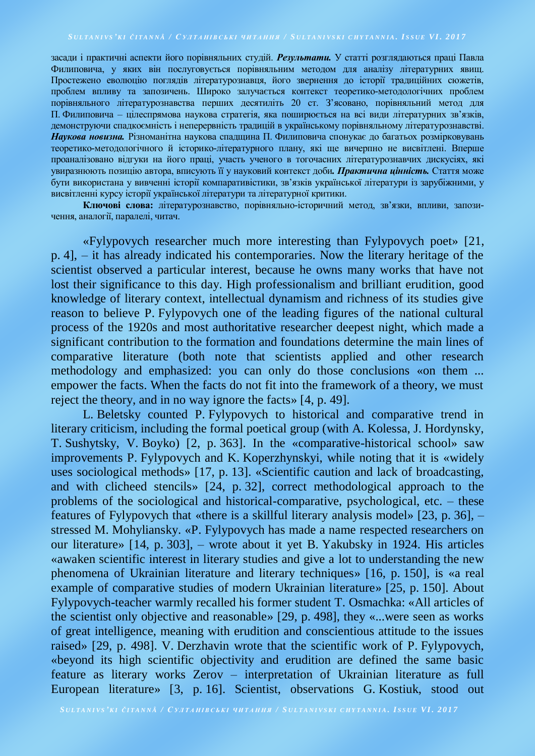засади і практичні аспекти його порівняльних студій. *Результати.* У статті розглядаються праці Павла Филиповича, у яких він послуговується порівняльним методом для аналізу літературних явищ. Простежено еволюцію поглядів літературознавця, його звернення до історії традиційних сюжетів, проблем впливу та запозичень. Широко залучається контекст теоретико-методологічних проблем порівняльного літературознавства перших десятиліть 20 ст. З'ясовано, порівняльний метод для П. Филиповича – цілеспрямова наукова стратегія, яка поширюється на всі види літературних зв'язків, демонструючи спадкоємність і неперервність традицій в українському порівняльному літературознавстві. *Наукова новизна.* Різноманітна наукова спадщина П. Филиповича спонукає до багатьох розмірковувань теоретико-методологічного й історико-літературного плану, які ще вичерпно не висвітлені. Вперше проаналізовано відгуки на його праці, участь ученого в тогочасних літературознавчих дискусіях, які увиразнюють позицію автора, вписують її у науковий контекст доби*. Практична цінність.* Стаття може бути використана у вивченні історії компаративістики, зв'язків української літератури із зарубіжними, у висвітленні курсу історії української літератури та літературної критики.

**Ключові слова:** літературознавство, порівняльно-історичний метод, зв'язки, впливи, запозичення, аналогії, паралелі, читач.

«Fylypovych researcher much more interesting than Fylypovych poet» [21, p. 4], – it has already indicated his contemporaries. Now the literary heritage of the scientist observed a particular interest, because he owns many works that have not lost their significance to this day. High professionalism and brilliant erudition, good knowledge of literary context, intellectual dynamism and richness of its studies give reason to believe P. Fylypovych one of the leading figures of the national cultural process of the 1920s and most authoritative researcher deepest night, which made a significant contribution to the formation and foundations determine the main lines of comparative literature (both note that scientists applied and other research methodology and emphasized: you can only do those conclusions «on them ... empower the facts. When the facts do not fit into the framework of a theory, we must reject the theory, and in no way ignore the facts» [4, p. 49].

L. Beletsky counted P. Fylypovych to historical and comparative trend in literary criticism, including the formal poetical group (with A. Kolessa, J. Hordynsky, T. Sushytsky, V. Boyko) [2, p. 363]. In the «comparative-historical school» saw improvements P. Fylypovych and K. Koperzhynskyi, while noting that it is «widely uses sociological methods» [17, p. 13]. «Scientific caution and lack of broadcasting, and with clicheed stencils» [24, p. 32], correct methodological approach to the problems of the sociological and historical-comparative, psychological, etc. – these features of Fylypovych that «there is a skillful literary analysis model» [23, p. 36], – stressed M. Mohyliansky. «P. Fylypovych has made a name respected researchers on our literature» [14, p. 303], – wrote about it yet B. Yakubsky in 1924. His articles «awaken scientific interest in literary studies and give a lot to understanding the new phenomena of Ukrainian literature and literary techniques» [16, p. 150], is «a real example of comparative studies of modern Ukrainian literature» [25, p. 150]. About Fylypovych-teacher warmly recalled his former student T. Osmachka: «All articles of the scientist only objective and reasonable» [29, p. 498], they «...were seen as works of great intelligence, meaning with erudition and conscientious attitude to the issues raised» [29, p. 498]. V. Derzhavin wrote that the scientific work of P. Fylypovych, «beyond its high scientific objectivity and erudition are defined the same basic feature as literary works Zerov – interpretation of Ukrainian literature as full European literature» [3, p. 16]. Scientist, observations G. Kostiuk, stood out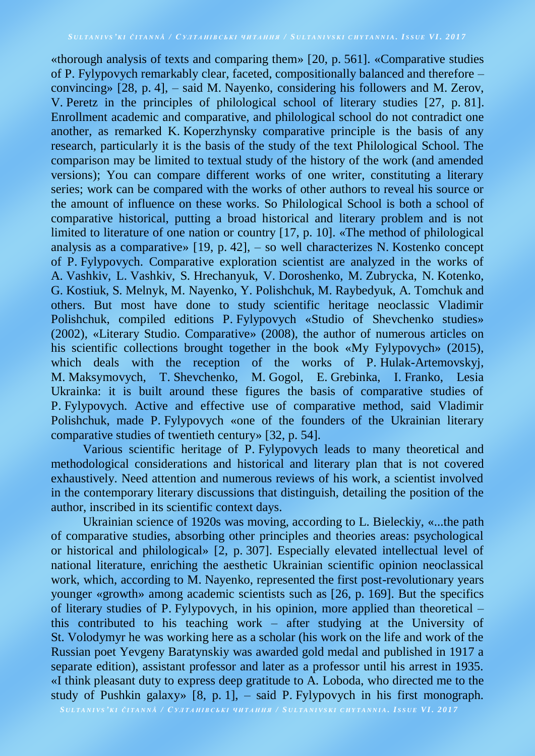«thorough analysis of texts and comparing them» [20, p. 561]. «Comparative studies of P. Fylypovych remarkably clear, faceted, compositionally balanced and therefore – convincing» [28, p. 4], – said M. Nayenko, considering his followers and M. Zerov, V. Peretz in the principles of philological school of literary studies [27, p. 81]. Enrollment academic and comparative, and philological school do not contradict one another, as remarked K. Koperzhynsky comparative principle is the basis of any research, particularly it is the basis of the study of the text Philological School. The comparison may be limited to textual study of the history of the work (and amended versions); You can compare different works of one writer, constituting a literary series; work can be compared with the works of other authors to reveal his source or the amount of influence on these works. So Philological School is both a school of comparative historical, putting a broad historical and literary problem and is not limited to literature of one nation or country [17, p. 10]. «The method of philological analysis as a comparative» [19, p. 42], – so well characterizes N. Kostenko concept of P. Fylypovych. Comparative exploration scientist are analyzed in the works of A. Vashkiv, L. Vashkiv, S. Hrechanyuk, V. Doroshenko, M. Zubrycka, N. Kotenko, G. Kostiuk, S. Melnyk, M. Nayenko, Y. Polishchuk, M. Raybedyuk, A. Tomchuk and others. But most have done to study scientific heritage neoclassic Vladimir Polishchuk, compiled editions P. Fylypovych «Studio of Shevchenko studies» (2002), «Literary Studio. Comparative» (2008), the author of numerous articles on his scientific collections brought together in the book «My Fylypovych» (2015), which deals with the reception of the works of P. Hulak-Artemovskyj, M. Maksymovych, T. Shevchenko, M. Gogol, E. Grebinka, I. Franko, Lesia Ukrainka: it is built around these figures the basis of comparative studies of P. Fylypovych. Active and effective use of comparative method, said Vladimir Polishchuk, made P. Fylypovych «one of the founders of the Ukrainian literary comparative studies of twentieth century» [32, p. 54].

Various scientific heritage of P. Fylypovych leads to many theoretical and methodological considerations and historical and literary plan that is not covered exhaustively. Need attention and numerous reviews of his work, a scientist involved in the contemporary literary discussions that distinguish, detailing the position of the author, inscribed in its scientific context days.

Ukrainian science of 1920s was moving, according to L. Bieleckiy, «...the path of comparative studies, absorbing other principles and theories areas: psychological or historical and philological» [2, p. 307]. Especially elevated intellectual level of national literature, enriching the aesthetic Ukrainian scientific opinion neoclassical work, which, according to M. Nayenko, represented the first post-revolutionary years younger «growth» among academic scientists such as [26, p. 169]. But the specifics of literary studies of P. Fylypovych, in his opinion, more applied than theoretical – this contributed to his teaching work – after studying at the University of St. Volodymyr he was working here as a scholar (his work on the life and work of the Russian poet Yevgeny Baratynskiy was awarded gold medal and published in 1917 a separate edition), assistant professor and later as a professor until his arrest in 1935. «I think pleasant duty to express deep gratitude to A. Loboda, who directed me to the study of Pushkin galaxy» [8, p. 1], – said P. Fylypovych in his first monograph.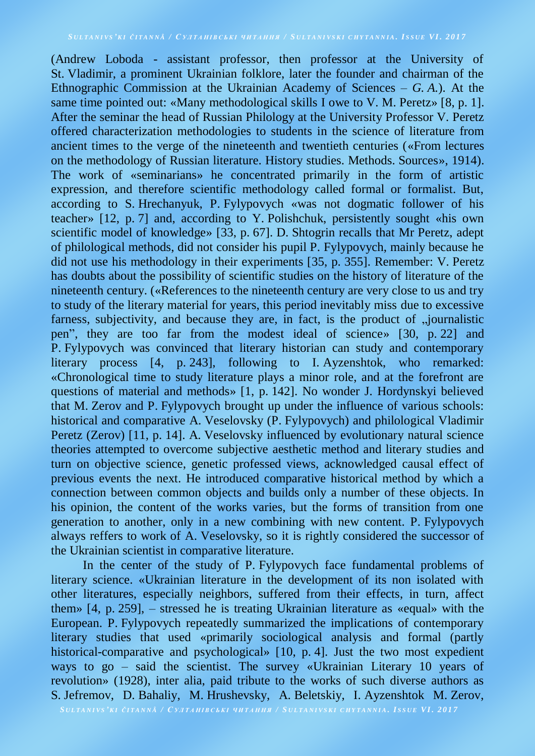(Andrew Loboda - assistant professor, then professor at the University of St. Vladimir, a prominent Ukrainian folklore, later the founder and chairman of the Ethnographic Commission at the Ukrainian Academy of Sciences – *G. A.*). At the same time pointed out: «Many methodological skills I owe to V. M. Peretz» [8, p. 1]. After the seminar the head of Russian Philology at the University Professor V. Peretz offered characterization methodologies to students in the science of literature from ancient times to the verge of the nineteenth and twentieth centuries («From lectures on the methodology of Russian literature. History studies. Methods. Sources», 1914). The work of «seminarians» he concentrated primarily in the form of artistic expression, and therefore scientific methodology called formal or formalist. But, according to S. Hrechanyuk, P. Fylypovych «was not dogmatic follower of his teacher» [12, p. 7] and, according to Y. Polishchuk, persistently sought «his own scientific model of knowledge» [33, p. 67]. D. Shtogrin recalls that Mr Peretz, adept of philological methods, did not consider his pupil P. Fylypovych, mainly because he did not use his methodology in their experiments [35, p. 355]. Remember: V. Peretz has doubts about the possibility of scientific studies on the history of literature of the nineteenth century. («References to the nineteenth century are very close to us and try to study of the literary material for years, this period inevitably miss due to excessive farness, subjectivity, and because they are, in fact, is the product of nournalistic pen", they are too far from the modest ideal of science» [30, p. 22] and P. Fylypovych was convinced that literary historian can study and contemporary literary process [4, p. 243], following to I. Ayzenshtok, who remarked: «Chronological time to study literature plays a minor role, and at the forefront are questions of material and methods» [1, p. 142]. No wonder J. Hordynskyi believed that M. Zerov and P. Fylypovych brought up under the influence of various schools: historical and comparative A. Veselovsky (P. Fylypovych) and philological Vladimir Peretz (Zerov) [11, p. 14]. A. Veselovsky influenced by evolutionary natural science theories attempted to overcome subjective aesthetic method and literary studies and turn on objective science, genetic professed views, acknowledged causal effect of previous events the next. He introduced comparative historical method by which a connection between common objects and builds only a number of these objects. In his opinion, the content of the works varies, but the forms of transition from one generation to another, only in a new combining with new content. P. Fylypovych always reffers to work of A. Veselovsky, so it is rightly considered the successor of the Ukrainian scientist in comparative literature.

In the center of the study of P. Fylypovych face fundamental problems of literary science. «Ukrainian literature in the development of its non isolated with other literatures, especially neighbors, suffered from their effects, in turn, affect them» [4, p. 259], – stressed he is treating Ukrainian literature as «equal» with the European. P. Fylypovych repeatedly summarized the implications of contemporary literary studies that used «primarily sociological analysis and formal (partly historical-comparative and psychological» [10, p. 4]. Just the two most expedient ways to go – said the scientist. The survey «Ukrainian Literary 10 years of revolution» (1928), inter alia, paid tribute to the works of such diverse authors as S. Jefremov, D. Bahaliy, M. Hrushevsky, A. Beletskiy, I. Ayzenshtok M. Zerov,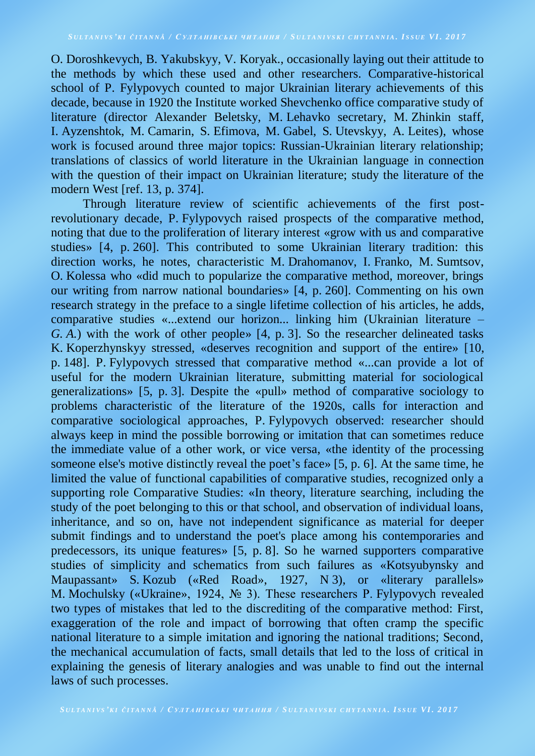O. Doroshkevych, B. Yakubskyy, V. Koryak., occasionally laying out their attitude to the methods by which these used and other researchers. Comparative-historical school of P. Fylypovych counted to major Ukrainian literary achievements of this decade, because in 1920 the Institute worked Shevchenko office comparative study of literature (director Alexander Beletsky, M. Lehavko secretary, M. Zhinkin staff, I. Ayzenshtok, M. Camarin, S. Efimova, M. Gabel, S. Utevskyy, A. Leites), whose work is focused around three major topics: Russian-Ukrainian literary relationship; translations of classics of world literature in the Ukrainian language in connection with the question of their impact on Ukrainian literature; study the literature of the modern West [ref. 13, p. 374].

Through literature review of scientific achievements of the first postrevolutionary decade, P. Fylypovych raised prospects of the comparative method, noting that due to the proliferation of literary interest «grow with us and comparative studies» [4, p. 260]. This contributed to some Ukrainian literary tradition: this direction works, he notes, characteristic M. Drahomanov, I. Franko, M. Sumtsov, O. Kolessa who «did much to popularize the comparative method, moreover, brings our writing from narrow national boundaries» [4, p. 260]. Commenting on his own research strategy in the preface to a single lifetime collection of his articles, he adds, comparative studies «...extend our horizon... linking him (Ukrainian literature – *G. A.*) with the work of other people» [4, p. 3]. So the researcher delineated tasks K. Koperzhynskyy stressed, «deserves recognition and support of the entire» [10, p. 148]. P. Fylypovych stressed that comparative method «...can provide a lot of useful for the modern Ukrainian literature, submitting material for sociological generalizations» [5, p. 3]. Despite the «pull» method of comparative sociology to problems characteristic of the literature of the 1920s, calls for interaction and comparative sociological approaches, P. Fylypovych observed: researcher should always keep in mind the possible borrowing or imitation that can sometimes reduce the immediate value of a other work, or vice versa, «the identity of the processing someone else's motive distinctly reveal the poet's face» [5, p. 6]. At the same time, he limited the value of functional capabilities of comparative studies, recognized only a supporting role Comparative Studies: «In theory, literature searching, including the study of the poet belonging to this or that school, and observation of individual loans, inheritance, and so on, have not independent significance as material for deeper submit findings and to understand the poet's place among his contemporaries and predecessors, its unique features» [5, p. 8]. So he warned supporters comparative studies of simplicity and schematics from such failures as «Kotsyubynsky and Maupassant» S. Kozub («Red Road», 1927, N 3), or «literary parallels» M. Mochulsky («Ukraine», 1924, № 3). These researchers P. Fylypovych revealed two types of mistakes that led to the discrediting of the comparative method: First, exaggeration of the role and impact of borrowing that often cramp the specific national literature to a simple imitation and ignoring the national traditions; Second, the mechanical accumulation of facts, small details that led to the loss of critical in explaining the genesis of literary analogies and was unable to find out the internal laws of such processes.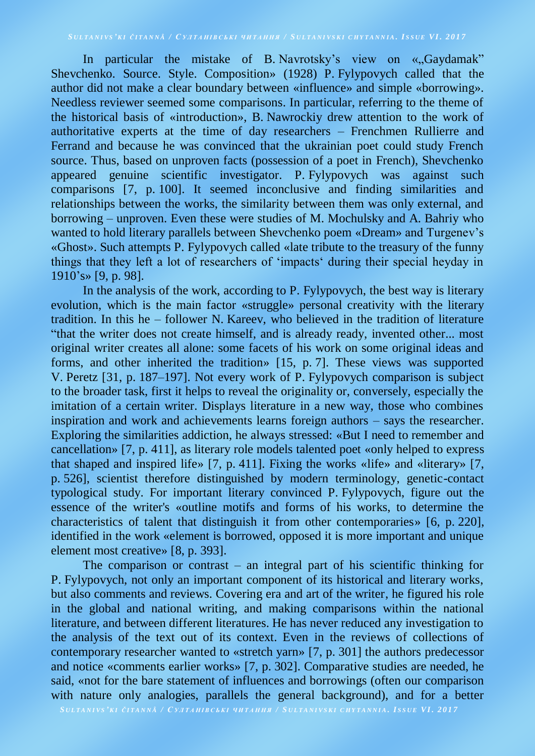In particular the mistake of B. Navrotsky's view on «, Gaydamak" Shevchenko. Source. Style. Composition» (1928) P. Fylypovych called that the author did not make a clear boundary between «influence» and simple «borrowing». Needless reviewer seemed some comparisons. In particular, referring to the theme of the historical basis of «introduction», B. Nawrockiy drew attention to the work of authoritative experts at the time of day researchers – Frenchmen Rullierre and Ferrand and because he was convinced that the ukrainian poet could study French source. Thus, based on unproven facts (possession of a poet in French), Shevchenko appeared genuine scientific investigator. P. Fylypovych was against such comparisons [7, p. 100]. It seemed inconclusive and finding similarities and relationships between the works, the similarity between them was only external, and borrowing – unproven. Even these were studies of M. Mochulsky and A. Bahriy who wanted to hold literary parallels between Shevchenko poem «Dream» and Turgenev's «Ghost». Such attempts P. Fylypovych called «late tribute to the treasury of the funny things that they left a lot of researchers of 'impacts' during their special heyday in 1910's» [9, p. 98].

In the analysis of the work, according to P. Fylypovych, the best way is literary evolution, which is the main factor «struggle» personal creativity with the literary tradition. In this he – follower N. Kareev, who believed in the tradition of literature "that the writer does not create himself, and is already ready, invented other... most original writer creates all alone: some facets of his work on some original ideas and forms, and other inherited the tradition» [15, p. 7]. These views was supported V. Peretz [31, p. 187–197]. Not every work of P. Fylypovych comparison is subject to the broader task, first it helps to reveal the originality or, conversely, especially the imitation of a certain writer. Displays literature in a new way, those who combines inspiration and work and achievements learns foreign authors – says the researcher. Exploring the similarities addiction, he always stressed: «But I need to remember and cancellation» [7, p. 411], as literary role models talented poet «only helped to express that shaped and inspired life» [7, p. 411]. Fixing the works «life» and «literary» [7, p. 526], scientist therefore distinguished by modern terminology, genetic-contact typological study. For important literary convinced P. Fylypovych, figure out the essence of the writer's «outline motifs and forms of his works, to determine the characteristics of talent that distinguish it from other contemporaries» [6, p. 220], identified in the work «element is borrowed, opposed it is more important and unique element most creative» [8, p. 393].

The comparison or contrast – an integral part of his scientific thinking for P. Fylypovych, not only an important component of its historical and literary works, but also comments and reviews. Covering era and art of the writer, he figured his role in the global and national writing, and making comparisons within the national literature, and between different literatures. He has never reduced any investigation to the analysis of the text out of its context. Even in the reviews of collections of contemporary researcher wanted to «stretch yarn» [7, p. 301] the authors predecessor and notice «comments earlier works» [7, p. 302]. Comparative studies are needed, he said, «not for the bare statement of influences and borrowings (often our comparison with nature only analogies, parallels the general background), and for a better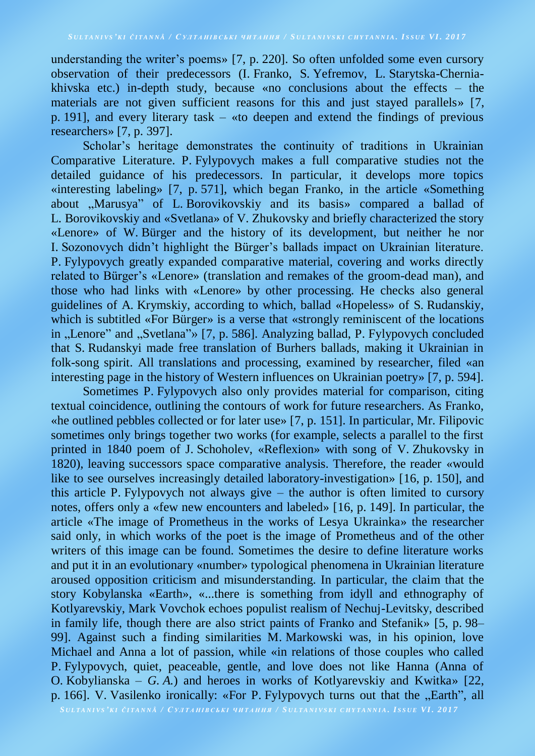understanding the writer's poems» [7, p. 220]. So often unfolded some even cursory observation of their predecessors (I. Franko, S. Yefremov, L. Starytska-Cherniakhivska etc.) in-depth study, because «no conclusions about the effects – the materials are not given sufficient reasons for this and just stayed parallels» [7, p. 191], and every literary task – «to deepen and extend the findings of previous researchers» [7, p. 397].

Scholar's heritage demonstrates the continuity of traditions in Ukrainian Comparative Literature. P. Fylypovych makes a full comparative studies not the detailed guidance of his predecessors. In particular, it develops more topics «interesting labeling» [7, p. 571], which began Franko, in the article «Something about "Marusya" of L. Borovikovskiy and its basis» compared a ballad of L. Borovikovskiy and «Svetlana» of V. Zhukovsky and briefly characterized the story «Lenore» of W. Bürger and the history of its development, but neither he nor I. Sozonovych didn't highlight the Bürger's ballads impact on Ukrainian literature. P. Fylypovych greatly expanded comparative material, covering and works directly related to Bürger's «Lenore» (translation and remakes of the groom-dead man), and those who had links with «Lenore» by other processing. He checks also general guidelines of A. Krymskiy, according to which, ballad «Hopeless» of S. Rudanskiy, which is subtitled «For Bürger» is a verse that «strongly reminiscent of the locations in "Lenore" and "Svetlana"» [7, p. 586]. Analyzing ballad, P. Fylypovych concluded that S. Rudanskyi made free translation of Burhers ballads, making it Ukrainian in folk-song spirit. All translations and processing, examined by researcher, filed «an interesting page in the history of Western influences on Ukrainian poetry» [7, p. 594].

Sometimes P. Fylypovych also only provides material for comparison, citing textual coincidence, outlining the contours of work for future researchers. As Franko, «he outlined pebbles collected or for later use» [7, p. 151]. In particular, Mr. Filipovic sometimes only brings together two works (for example, selects a parallel to the first printed in 1840 poem of J. Schoholev, «Reflexion» with song of V. Zhukovsky in 1820), leaving successors space comparative analysis. Therefore, the reader «would like to see ourselves increasingly detailed laboratory-investigation» [16, p. 150], and this article P. Fylypovych not always give – the author is often limited to cursory notes, offers only a «few new encounters and labeled» [16, p. 149]. In particular, the article «The image of Prometheus in the works of Lesya Ukrainka» the researcher said only, in which works of the poet is the image of Prometheus and of the other writers of this image can be found. Sometimes the desire to define literature works and put it in an evolutionary «number» typological phenomena in Ukrainian literature aroused opposition criticism and misunderstanding. In particular, the claim that the story Kobylanska «Earth», «...there is something from idyll and ethnography of Kotlyarevskiy, Mark Vovchok echoes populist realism of Nechuj-Levitsky, described in family life, though there are also strict paints of Franko and Stefanik» [5, p. 98– 99]. Against such a finding similarities M. Markowski was, in his opinion, love Michael and Anna a lot of passion, while «in relations of those couples who called P. Fylypovych, quiet, peaceable, gentle, and love does not like Hanna (Anna of O. Kobylianska – *G. A.*) and heroes in works of Kotlyarevskiy and Kwitka» [22, p. 166]. V. Vasilenko ironically: «For P. Fylypovych turns out that the "Earth", all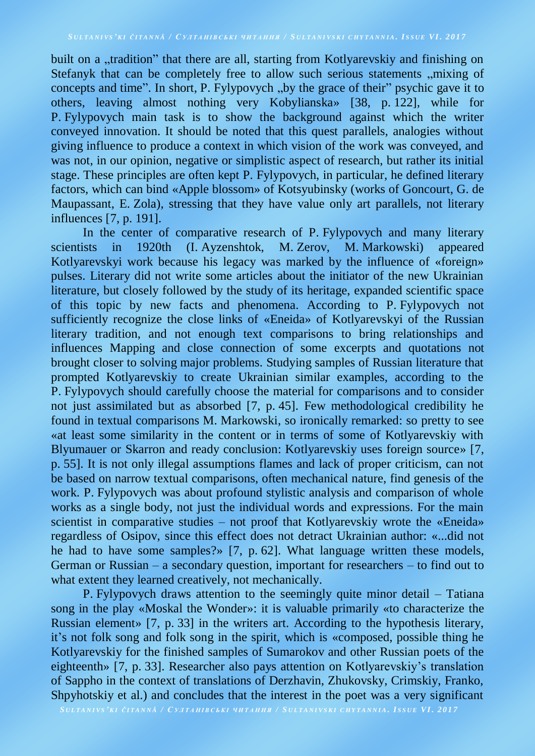built on a "tradition" that there are all, starting from Kotlyarevskiy and finishing on Stefanyk that can be completely free to allow such serious statements , mixing of concepts and time". In short, P. Fylypovych "by the grace of their" psychic gave it to others, leaving almost nothing very Kobylianska» [38, p. 122], while for P. Fylypovych main task is to show the background against which the writer conveyed innovation. It should be noted that this quest parallels, analogies without giving influence to produce a context in which vision of the work was conveyed, and was not, in our opinion, negative or simplistic aspect of research, but rather its initial stage. These principles are often kept P. Fylypovych, in particular, he defined literary factors, which can bind «Apple blossom» of Kotsyubinsky (works of Goncourt, G. de Maupassant, E. Zola), stressing that they have value only art parallels, not literary influences [7, p. 191].

In the center of comparative research of P. Fylypovych and many literary scientists in 1920th (I. Ayzenshtok, M. Zerov, M. Markowski) appeared Kotlyarevskyi work because his legacy was marked by the influence of «foreign» pulses. Literary did not write some articles about the initiator of the new Ukrainian literature, but closely followed by the study of its heritage, expanded scientific space of this topic by new facts and phenomena. According to P. Fylypovych not sufficiently recognize the close links of «Eneida» of Kotlyarevskyi of the Russian literary tradition, and not enough text comparisons to bring relationships and influences Mapping and close connection of some excerpts and quotations not brought closer to solving major problems. Studying samples of Russian literature that prompted Kotlyarevskiy to create Ukrainian similar examples, according to the P. Fylypovych should carefully choose the material for comparisons and to consider not just assimilated but as absorbed [7, p. 45]. Few methodological credibility he found in textual comparisons M. Markowski, so ironically remarked: so pretty to see «at least some similarity in the content or in terms of some of Kotlyarevskiy with Blyumauer or Skarron and ready conclusion: Kotlyarevskiy uses foreign source» [7, p. 55]. It is not only illegal assumptions flames and lack of proper criticism, can not be based on narrow textual comparisons, often mechanical nature, find genesis of the work. P. Fylypovych was about profound stylistic analysis and comparison of whole works as a single body, not just the individual words and expressions. For the main scientist in comparative studies – not proof that Kotlyarevskiy wrote the «Eneida» regardless of Osipov, since this effect does not detract Ukrainian author: «...did not he had to have some samples?» [7, p. 62]. What language written these models, German or Russian – a secondary question, important for researchers – to find out to what extent they learned creatively, not mechanically.

P. Fylypovych draws attention to the seemingly quite minor detail – Tatiana song in the play «Moskal the Wonder»: it is valuable primarily «to characterize the Russian element» [7, p. 33] in the writers art. According to the hypothesis literary, it's not folk song and folk song in the spirit, which is «composed, possible thing he Kotlyarevskiy for the finished samples of Sumarokov and other Russian poets of the eighteenth» [7, p. 33]. Researcher also pays attention on Kotlyarevskiy's translation of Sappho in the context of translations of Derzhavin, Zhukovsky, Crimskiy, Franko, Shpyhotskiy et al.) and concludes that the interest in the poet was a very significant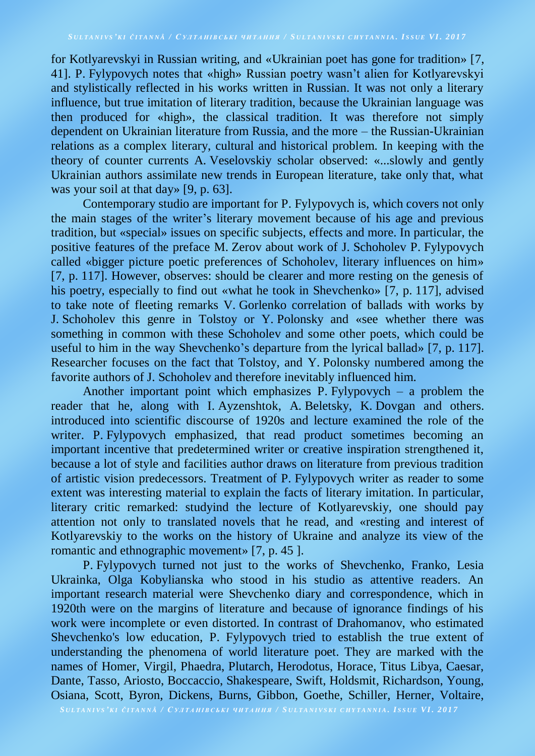for Kotlyarevskyi in Russian writing, and «Ukrainian poet has gone for tradition» [7, 41]. P. Fylypovych notes that «high» Russian poetry wasn't alien for Kotlyarevskyi and stylistically reflected in his works written in Russian. It was not only a literary influence, but true imitation of literary tradition, because the Ukrainian language was then produced for «high», the classical tradition. It was therefore not simply dependent on Ukrainian literature from Russia, and the more – the Russian-Ukrainian relations as a complex literary, cultural and historical problem. In keeping with the theory of counter currents A. Veselovskiy scholar observed: «...slowly and gently Ukrainian authors assimilate new trends in European literature, take only that, what was your soil at that day» [9, p. 63].

Contemporary studio are important for P. Fylypovych is, which covers not only the main stages of the writer's literary movement because of his age and previous tradition, but «special» issues on specific subjects, effects and more. In particular, the positive features of the preface M. Zerov about work of J. Schoholev P. Fylypovych called «bigger picture poetic preferences of Schoholev, literary influences on him» [7, p. 117]. However, observes: should be clearer and more resting on the genesis of his poetry, especially to find out «what he took in Shevchenko» [7, p. 117], advised to take note of fleeting remarks V. Gorlenko correlation of ballads with works by J. Schoholev this genre in Tolstoy or Y. Polonsky and «see whether there was something in common with these Schoholev and some other poets, which could be useful to him in the way Shevchenko's departure from the lyrical ballad» [7, p. 117]. Researcher focuses on the fact that Tolstoy, and Y. Polonsky numbered among the favorite authors of J. Schoholev and therefore inevitably influenced him.

Another important point which emphasizes P. Fylypovych – a problem the reader that he, along with I. Ayzenshtok, A. Beletsky, K. Dovgan and others. introduced into scientific discourse of 1920s and lecture examined the role of the writer. P. Fylypovych emphasized, that read product sometimes becoming an important incentive that predetermined writer or creative inspiration strengthened it, because a lot of style and facilities author draws on literature from previous tradition of artistic vision predecessors. Treatment of P. Fylypovych writer as reader to some extent was interesting material to explain the facts of literary imitation. In particular, literary critic remarked: studyind the lecture of Kotlyarevskiy, one should pay attention not only to translated novels that he read, and «resting and interest of Kotlyarevskiy to the works on the history of Ukraine and analyze its view of the romantic and ethnographic movement» [7, p. 45 ].

P. Fylypovych turned not just to the works of Shevchenko, Franko, Lesia Ukrainka, Olga Kobylianska who stood in his studio as attentive readers. An important research material were Shevchenko diary and correspondence, which in 1920th were on the margins of literature and because of ignorance findings of his work were incomplete or even distorted. In contrast of Drahomanov, who estimated Shevchenko's low education, P. Fylypovych tried to establish the true extent of understanding the phenomena of world literature poet. They are marked with the names of Homer, Virgil, Phaedra, Plutarch, Herodotus, Horace, Titus Libya, Caesar, Dante, Tasso, Ariosto, Boccaccio, Shakespeare, Swift, Holdsmit, Richardson, Young, Osiana, Scott, Byron, Dickens, Burns, Gibbon, Goethe, Schiller, Herner, Voltaire,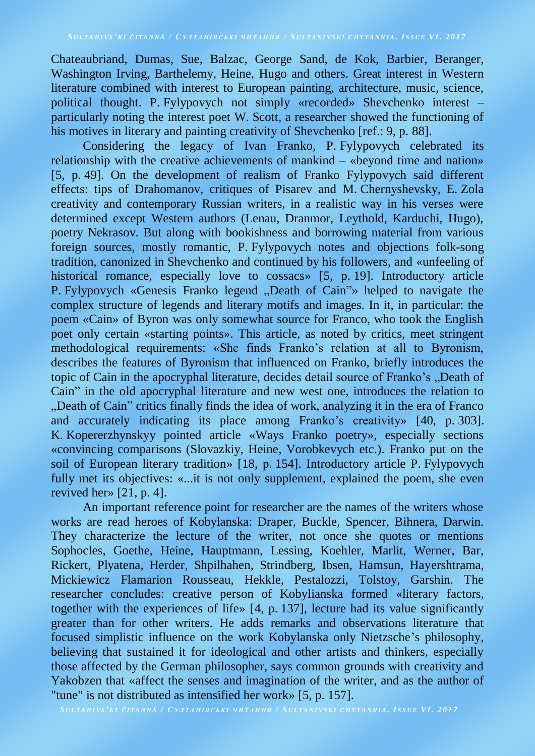Chateaubriand, Dumas, Sue, Balzac, George Sand, de Kok, Barbier, Beranger, Washington Irving, Barthelemy, Heine, Hugo and others. Great interest in Western literature combined with interest to European painting, architecture, music, science, political thought. P. Fylypovych not simply «recorded» Shevchenko interest – particularly noting the interest poet W. Scott, a researcher showed the functioning of his motives in literary and painting creativity of Shevchenko [ref.: 9, p. 88].

Considering the legacy of Ivan Franko, P. Fylypovych celebrated its relationship with the creative achievements of mankind – «beyond time and nation» [5, p. 49]. On the development of realism of Franko Fylypovych said different effects: tips of Drahomanov, critiques of Pisarev and M. Chernyshevsky, E. Zola creativity and contemporary Russian writers, in a realistic way in his verses were determined except Western authors (Lenau, Dranmor, Leythold, Karduchi, Hugo), poetry Nekrasov. But along with bookishness and borrowing material from various foreign sources, mostly romantic, P. Fylypovych notes and objections folk-song tradition, canonized in Shevchenko and continued by his followers, and «unfeeling of historical romance, especially love to cossacs» [5, p. 19]. Introductory article P. Fylypovych «Genesis Franko legend "Death of Cain"» helped to navigate the complex structure of legends and literary motifs and images. In it, in particular: the poem «Cain» of Byron was only somewhat source for Franco, who took the English poet only certain «starting points». This article, as noted by critics, meet stringent methodological requirements: «She finds Franko's relation at all to Byronism, describes the features of Byronism that influenced on Franko, briefly introduces the topic of Cain in the apocryphal literature, decides detail source of Franko's "Death of Cain" in the old apocryphal literature and new west one, introduces the relation to . Death of Cain" critics finally finds the idea of work, analyzing it in the era of Franco. and accurately indicating its place among Franko's creativity» [40, p. 303]. K. Kopererzhynskyy pointed article «Ways Franko poetry», especially sections «convincing comparisons (Slovazkiy, Heine, Vorobkevych etc.). Franko put on the soil of European literary tradition» [18, p. 154]. Introductory article P. Fylypovych fully met its objectives: «...it is not only supplement, explained the poem, she even revived her» [21, p. 4].

An important reference point for researcher are the names of the writers whose works are read heroes of Kobylanska: Draper, Buckle, Spencer, Bihnera, Darwin. They characterize the lecture of the writer, not once she quotes or mentions Sophocles, Goethe, Heine, Hauptmann, Lessing, Koehler, Marlit, Werner, Bar, Rickert, Plyatena, Herder, Shpilhahen, Strindberg, Ibsen, Hamsun, Hayershtrama, Mickiewicz Flamarion Rousseau, Hekkle, Pestalozzi, Tolstoy, Garshin. The researcher concludes: creative person of Kobylianska formed «literary factors, together with the experiences of life» [4, p. 137], lecture had its value significantly greater than for other writers. He adds remarks and observations literature that focused simplistic influence on the work Kobylanska only Nietzsche's philosophy, believing that sustained it for ideological and other artists and thinkers, especially those affected by the German philosopher, says common grounds with creativity and Yakobzen that «affect the senses and imagination of the writer, and as the author of "tune" is not distributed as intensified her work» [5, p. 157].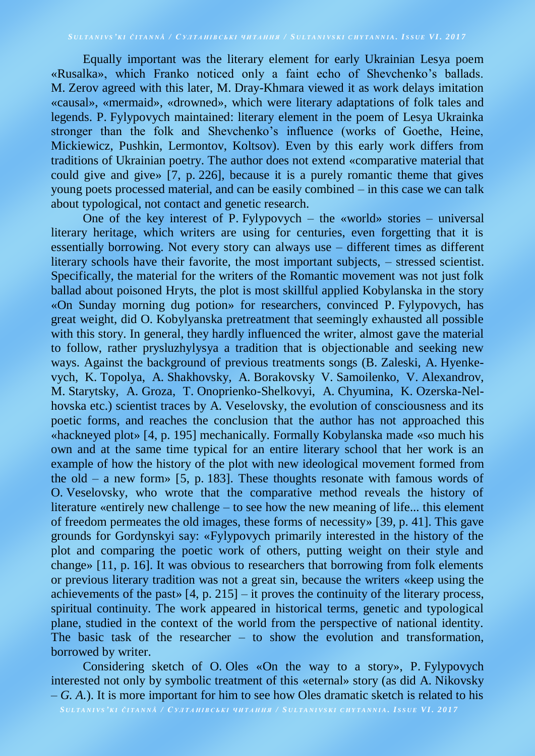Equally important was the literary element for early Ukrainian Lesya poem «Rusalka», which Franko noticed only a faint echo of Shevchenko's ballads. M. Zerov agreed with this later, M. Dray-Khmara viewed it as work delays imitation «causal», «mermaid», «drowned», which were literary adaptations of folk tales and legends. P. Fylypovych maintained: literary element in the poem of Lesya Ukrainka stronger than the folk and Shevchenko's influence (works of Goethe, Heine, Mickiewicz, Pushkin, Lermontov, Koltsov). Even by this early work differs from traditions of Ukrainian poetry. The author does not extend «comparative material that could give and give» [7, p. 226], because it is a purely romantic theme that gives young poets processed material, and can be easily combined – in this case we can talk about typological, not contact and genetic research.

One of the key interest of P. Fylypovych – the «world» stories – universal literary heritage, which writers are using for centuries, even forgetting that it is essentially borrowing. Not every story can always use – different times as different literary schools have their favorite, the most important subjects, – stressed scientist. Specifically, the material for the writers of the Romantic movement was not just folk ballad about poisoned Hryts, the plot is most skillful applied Kobylanska in the story «On Sunday morning dug potion» for researchers, convinced P. Fylypovych, has great weight, did O. Kobylyanska pretreatment that seemingly exhausted all possible with this story. In general, they hardly influenced the writer, almost gave the material to follow, rather prysluzhylysya a tradition that is objectionable and seeking new ways. Against the background of previous treatments songs (B. Zaleski, A. Hyenkevych, K. Topolya, A. Shakhovsky, A. Borakovsky V. Samoilenko, V. Alexandrov, M. Starytsky, A. Groza, T. Onoprienko-Shelkovyi, A. Chyumina, K. Ozerska-Nelhovska etc.) scientist traces by A. Veselovsky, the evolution of consciousness and its poetic forms, and reaches the conclusion that the author has not approached this «hackneyed plot» [4, p. 195] mechanically. Formally Kobylanska made «so much his own and at the same time typical for an entire literary school that her work is an example of how the history of the plot with new ideological movement formed from the old – a new form» [5, p. 183]. These thoughts resonate with famous words of O. Veselovsky, who wrote that the comparative method reveals the history of literature «entirely new challenge – to see how the new meaning of life... this element of freedom permeates the old images, these forms of necessity» [39, p. 41]. This gave grounds for Gordynskyi say: «Fylypovych primarily interested in the history of the plot and comparing the poetic work of others, putting weight on their style and change» [11, p. 16]. It was obvious to researchers that borrowing from folk elements or previous literary tradition was not a great sin, because the writers «keep using the achievements of the past»  $[4, p. 215]$  – it proves the continuity of the literary process, spiritual continuity. The work appeared in historical terms, genetic and typological plane, studied in the context of the world from the perspective of national identity. The basic task of the researcher – to show the evolution and transformation, borrowed by writer.

Considering sketch of O. Oles «On the way to a story», P. Fylypovych interested not only by symbolic treatment of this «eternal» story (as did A. Nikovsky – *G. A.*). It is more important for him to see how Oles dramatic sketch is related to his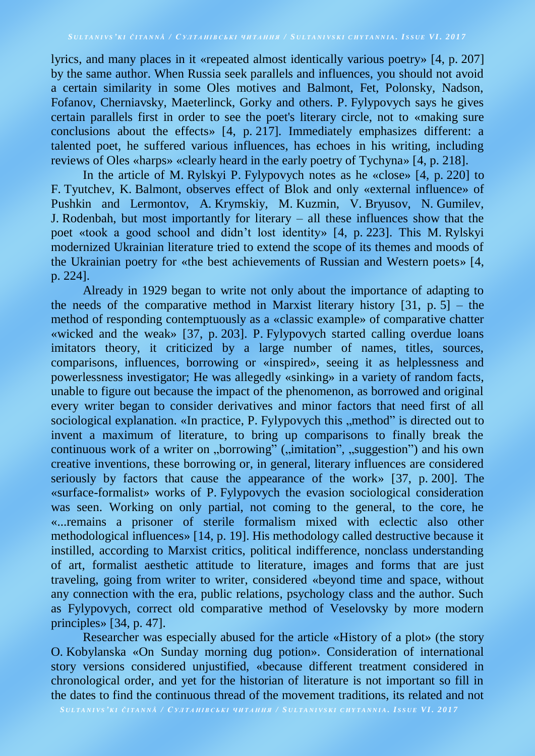lyrics, and many places in it «repeated almost identically various poetry» [4, p. 207] by the same author. When Russia seek parallels and influences, you should not avoid a certain similarity in some Oles motives and Balmont, Fet, Polonsky, Nadson, Fofanov, Cherniavsky, Maeterlinck, Gorky and others. P. Fylypovych says he gives certain parallels first in order to see the poet's literary circle, not to «making sure conclusions about the effects» [4, p. 217]. Immediately emphasizes different: a talented poet, he suffered various influences, has echoes in his writing, including reviews of Oles «harps» «clearly heard in the early poetry of Tychyna» [4, p. 218].

In the article of M. Rylskyi P. Fylypovych notes as he «close» [4, p. 220] to F. Tyutchev, K. Balmont, observes effect of Blok and only «external influence» of Pushkin and Lermontov, A. Krymskiy, M. Kuzmin, V. Bryusov, N. Gumilev, J. Rodenbah, but most importantly for literary – all these influences show that the poet «took a good school and didn't lost identity» [4, p. 223]. This M. Rylskyi modernized Ukrainian literature tried to extend the scope of its themes and moods of the Ukrainian poetry for «the best achievements of Russian and Western poets» [4, p. 224].

Already in 1929 began to write not only about the importance of adapting to the needs of the comparative method in Marxist literary history  $[31, p. 5]$  – the method of responding contemptuously as a «classic example» of comparative chatter «wicked and the weak» [37, p. 203]. P. Fylypovych started calling overdue loans imitators theory, it criticized by a large number of names, titles, sources, comparisons, influences, borrowing or «inspired», seeing it as helplessness and powerlessness investigator; He was allegedly «sinking» in a variety of random facts, unable to figure out because the impact of the phenomenon, as borrowed and original every writer began to consider derivatives and minor factors that need first of all sociological explanation. «In practice, P. Fylypovych this "method" is directed out to invent a maximum of literature, to bring up comparisons to finally break the continuous work of a writer on "borrowing" ("imitation", "suggestion") and his own creative inventions, these borrowing or, in general, literary influences are considered seriously by factors that cause the appearance of the work» [37, p. 200]. The «surface-formalist» works of P. Fylypovych the evasion sociological consideration was seen. Working on only partial, not coming to the general, to the core, he «...remains a prisoner of sterile formalism mixed with eclectic also other methodological influences» [14, p. 19]. His methodology called destructive because it instilled, according to Marxist critics, political indifference, nonclass understanding of art, formalist aesthetic attitude to literature, images and forms that are just traveling, going from writer to writer, considered «beyond time and space, without any connection with the era, public relations, psychology class and the author. Such as Fylypovych, correct old comparative method of Veselovsky by more modern principles» [34, p. 47].

Researcher was especially abused for the article «History of a plot» (the story O. Kobylanska «On Sunday morning dug potion». Consideration of international story versions considered unjustified, «because different treatment considered in chronological order, and yet for the historian of literature is not important so fill in the dates to find the continuous thread of the movement traditions, its related and not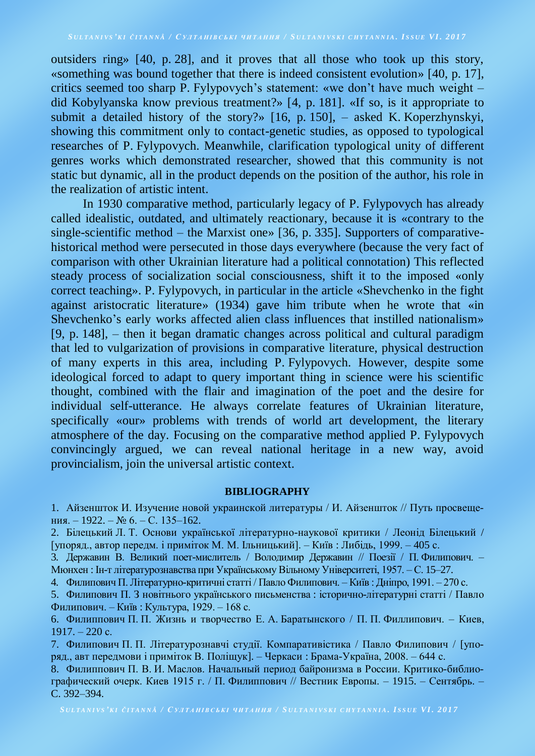outsiders ring» [40, p. 28], and it proves that all those who took up this story, «something was bound together that there is indeed consistent evolution» [40, p. 17], critics seemed too sharp P. Fylypovych's statement: «we don't have much weight – did Kobylyanska know previous treatment?» [4, p. 181]. «If so, is it appropriate to submit a detailed history of the story?» [16, p. 150], – asked K. Koperzhynskyi, showing this commitment only to contact-genetic studies, as opposed to typological researches of P. Fylypovych. Meanwhile, clarification typological unity of different genres works which demonstrated researcher, showed that this community is not static but dynamic, all in the product depends on the position of the author, his role in the realization of artistic intent.

In 1930 comparative method, particularly legacy of P. Fylypovych has already called idealistic, outdated, and ultimately reactionary, because it is «contrary to the single-scientific method – the Marxist one» [36, p. 335]. Supporters of comparativehistorical method were persecuted in those days everywhere (because the very fact of comparison with other Ukrainian literature had a political connotation) This reflected steady process of socialization social consciousness, shift it to the imposed «only correct teaching». P. Fylypovych, in particular in the article «Shevchenko in the fight against aristocratic literature» (1934) gave him tribute when he wrote that «in Shevchenko's early works affected alien class influences that instilled nationalism» [9, p. 148], – then it began dramatic changes across political and cultural paradigm that led to vulgarization of provisions in comparative literature, physical destruction of many experts in this area, including P. Fylypovych. However, despite some ideological forced to adapt to query important thing in science were his scientific thought, combined with the flair and imagination of the poet and the desire for individual self-utterance. He always correlate features of Ukrainian literature, specifically «our» problems with trends of world art development, the literary atmosphere of the day. Focusing on the comparative method applied P. Fylypovych convincingly argued, we can reveal national heritage in a new way, avoid provincialism, join the universal artistic context.

### **BIBLIOGRAPHY**

1. Айзеншток И. Изучение новой украинской литературы / И. Айзеншток // Путь просвещения. – 1922. – № 6. – С. 135–162.

2. Білецький Л. Т. Основи української літературно-наукової критики / Леонід Білецький / [упоряд., автор передм. і приміток М. М. Ільницький]. – Київ : Либідь, 1999. – 405 с.

3. Державин В. Великий поет-мислитель / Володимир Державин // Поезії / П. Филипович. – Мюнхен : Ін-т літературознавства при Українському Вільному Університеті, 1957. – С. 15–27.

4. Филипович П. Літературно-критичні статті / Павло Филипович. – Київ : Дніпро, 1991. – 270 с.

5. Филипович П. З новітнього українського письменства : історично-літературні статті / Павло Филипович. – Київ : Культура, 1929. – 168 с.

6. Филиппович П. П. Жизнь и творчество Е. А. Баратынского / П. П. Филлипович. – Киев, 1917. – 220 с.

7. Филипович П. П. Літературознавчі студії. Компаративістика / Павло Филипович / [упоряд., авт передмови і приміток В. Поліщук]. – Черкаси : Брама-Україна, 2008. – 644 с.

8. Филиппович П. В. И. Маслов. Начальный период байронизма в России. Критико-библиографический очерк. Киев 1915 г. / П. Филиппович // Вестник Европы. – 1915. – Сентябрь. – C. 392–394.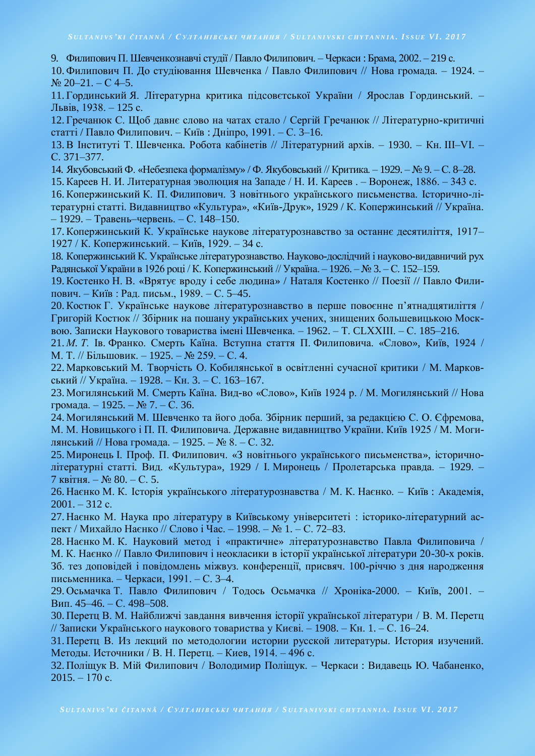9. Филипович П. Шевченкознавчі студії / Павло Филипович. – Черкаси : Брама, 2002. – 219 с.

10. Филипович П. До студіювання Шевченка / Павло Филипович // Нова громада. – 1924. –  $Ne 20-21$ . – C 4–5.

11. Гординський Я. Літературна критика підсовєтської України / Ярослав Гординський. – Львів, 1938. – 125 с.

12. Гречанюк С. Щоб давнє слово на чатах стало / Сергій Гречанюк // Літературно-критичні статті / Павло Филипович. – Київ : Дніпро, 1991. – С. 3–16.

13.В Інституті Т. Шевченка. Робота кабінетів // Літературний архів. – 1930. – Кн. ІІІ–VІ. – С. 371–377.

14. Якубовський Ф. «Небезпека формалізму» / Ф. Якубовський // Критика. – 1929. – № 9. – С. 8–28.

15.Кареев Н. И. Литературная эволюция на Западе / Н. И. Кареев . – Воронеж, 1886. – 343 с.

16.Копержинський К. П. Филипович. З новітнього українського письменства. Історично-літературні статті. Видавництво «Культура», «Київ-Друк», 1929 / К. Копержинський // Україна. – 1929. – Травень–червень. – С. 148–150.

17.Копержинський К. Українське наукове літературознавство за останнє десятиліття, 1917– 1927 / К. Копержинський. – Київ, 1929. – 34 с.

18. Копержинський К. Українське літературознавство. Науково-дослідчий і науково-видавничий рух Радянської України в 1926 році / К. Копержинський // Україна. – 1926. – № 3. – С. 152–159.

19.Костенко Н. В. «Врятує вроду і себе людина» / Наталя Костенко // Поезії // Павло Филипович. – Київ : Рад. письм., 1989. – С. 5–45.

20.Костюк Г. Українське наукове літературознавство в перше повоєнне п'ятнадцятиліття / Григорій Костюк // Збірник на пошану українських учених, знищених большевицькою Москвою. Записки Наукового товариства імені Шевченка. – 1962. – Т. CLХХІІІ. – С. 185–216.

21. *М. Т.* Ів. Франко. Смерть Каїна. Вступна стаття П. Филиповича. «Слово», Київ, 1924 / М. Т. // Більшовик. – 1925. – № 259. – С. 4.

22. Марковський М. Творчість О. Кобилянської в освітленні сучасної критики / М. Марковський // Україна. – 1928. – Кн. 3. – С. 163–167.

23. Могилянський М. Смерть Каїна. Вид-во «Слово», Київ 1924 р. / М. Могилянський // Нова громада. – 1925. – № 7. – С. 36.

24. Могилянський М. Шевченко та його доба. Збірник перший, за редакцією С. О. Єфремова, М. М. Новицького і П. П. Филиповича. Державне видавництво України. Київ 1925 / М. Могилянський // Нова громада. – 1925. – № 8. – С. 32.

25. Миронець І. Проф. П. Филипович. «З новітнього українського письменства», історичнолітературні статті. Вид. «Культура», 1929 / І. Миронець / Пролетарська правда. – 1929. – 7 квітня. – № 80. – С. 5.

26. Наєнко М. К. Історія українського літературознавства / М. К. Наєнко. – Київ : Академія,  $2001 - 312$  c.

27. Наєнко М. Наука про літературу в Київському університеті : історико-літературний аспект / Михайло Наєнко // Слово і Час. – 1998. – № 1. – С. 72–83.

28. Наєнко М. К. Науковий метод і «практичне» літературознавство Павла Филиповича / М. К. Наєнко // Павло Филипович і неокласики в історії української літератури 20-30-х років. Зб. тез доповідей і повідомлень міжвуз. конференції, присвяч. 100-річчю з дня народження письменника. – Черкаси, 1991. – С. 3–4.

29. Осьмачка Т. Павло Филипович / Тодось Осьмачка // Хроніка-2000. – Київ, 2001. – Вип. 45–46. – С. 498–508.

30. Перетц В. М. Найближчі завдання вивчення історії української літератури / В. М. Перетц // Записки Українського наукового товариства у Києві. – 1908. – Кн. 1. – С. 16–24.

31. Перетц В. Из лекций по методологии истории русской литературы. История изучений. Методы. Источники / В. Н. Перетц. – Киев, 1914. – 496 с.

32. Поліщук В. Мій Филипович / Володимир Поліщук. – Черкаси : Видавець Ю. Чабаненко,  $2015. - 170$  c.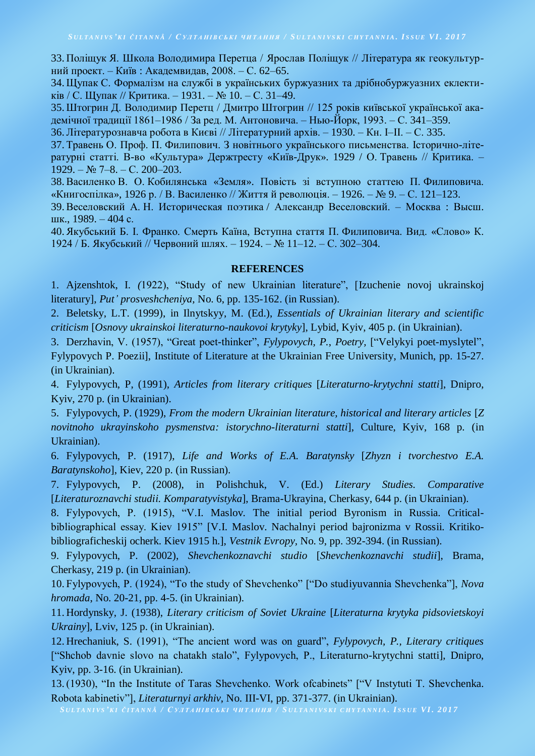33. Поліщук Я. Школа Володимира Перетца / Ярослав Поліщук // Література як геокультурний проект. – Київ : Академвидав, 2008. – С. 62–65.

34.Щупак С. Формалізм на службі в українських буржуазних та дрібнобуржуазних еклектиків / С. Щупак // Критика. – 1931. – № 10. – С. 31–49.

35.Штогрин Д. Володимир Перетц / Дмитро Штогрин // 125 років київської української академічної традиції 1861–1986 / За ред. М. Антоновича. – Нью-Йорк, 1993. – С. 341–359.

36.Літературознавча робота в Києві // Літературний архів. – 1930. – Кн. І–ІІ. – С. 335.

37. Травень О. Проф. П. Филипович. З новітнього українського письменства. Історично-літературні статті. В-во «Культура» Держтресту «Київ-Друк». 1929 / О. Травень // Критика. –  $1929. - N_2$  7–8. – C. 200–203.

38.Василенко В. О. Кобилянська «Земля». Повість зі вступною статтею П. Филиповича. «Книгоспілка», 1926 р. / В. Василенко // Життя й революція. – 1926. – № 9. – С. 121–123.

39.Веселовский А. Н. Историческая поэтика / Александр Веселовский. – Москва : Высш. шк., 1989. – 404 с.

40.Якубський Б. І. Франко. Смерть Каїна, Вступна стаття П. Филиповича. Вид. «Слово» К. 1924 / Б. Якубський // Червоний шлях. – 1924. – № 11–12. – С. 302–304.

### **REFERENCES**

1. Ajzenshtok, I. *(*1922), "Study of new Ukrainian literature", [Izuchenie novoj ukrainskoj literatury], *Put' prosveshcheniya,* No. 6, pp. 135-162. (in Russian).

2. Beletsky, L.T. (1999), in Ilnytskyy, M. (Ed.), *Essentials of Ukrainian literary and scientific criticism* [*Osnovy ukrainskoi literaturno-naukovoi krytyky*], Lybid, Kyiv, 405 p. (in Ukrainian).

3. Derzhavin, V. (1957), "Great poet-thinker", *Fylypovych, P.*, *Poetry,* ["Velykyi poet-myslytel", Fylypovych P. Poezii], Institute of Literature at the Ukrainian Free University, Munich, pp. 15-27. (in Ukrainian).

4. Fylypovych, P, (1991), *Articles from literary critiques* [*Literaturno-krytychni statti*], Dnipro, Kyiv, 270 p. (in Ukrainian).

5. Fylypovych, P. (1929), *From the modern Ukrainian literature, historical and literary articles* [*Z novitnoho ukrayinskoho pysmenstva: istorychno-literaturni statti*], Culture, Kyiv, 168 p. (in Ukrainian).

6. Fylypovych, P. (1917), *Life and Works of E.A. Baratynsky* [*Zhyzn i tvorchestvo E.A. Baratynskoho*], Kiev, 220 p. (in Russian).

7. Fylypovych, P. (2008), in Polishchuk, V. (Ed.) *Literary Studies. Comparative* [*Literaturoznavchi studii. Komparatyvistyka*], Brama-Ukrayina, Cherkasy, 644 p. (in Ukrainian).

8. Fylypovych, P. (1915), "V.I. Maslov*.* The initial period Byronism in Russia. Criticalbibliographical essay. Kiev 1915" [V.I. Maslov. Nachalnyi period bajronizma v Rossii. Kritikobibliograficheskij ocherk. Kiev 1915 h.], *Vestnik Evropy,* No. 9, pp. 392-394. (in Russian).

9. Fylypovych, P. (2002), *Shevchenkoznavchi studio* [*Shevchenkoznavchi studii*], Brama, Cherkasy, 219 p. (in Ukrainian).

10. Fylypovych, P. (1924), "To the study of Shevchenko" ["Do studiyuvannia Shevchenka"], *Nova hromada*, No. 20-21, pp. 4-5. (in Ukrainian).

11. Hordynsky, J. (1938), *Literary criticism of Soviet Ukraine* [*Literaturna krytyka pidsovietskoyi Ukrainy*], Lviv, 125 p. (in Ukrainian).

12. Hrechaniuk, S. (1991), "The ancient word was on guard", *Fylypovych, P., Literary critiques* ["Shchob davnie slovo na chatakh stalo", Fylypovych, P., Literaturno-krytychni statti], Dnipro, Kyiv, pp. 3-16. (in Ukrainian).

13. (1930), "In the Institute of Taras Shevchenko. Work ofcabinets" ["V Instytuti T. Shevchenka. Robota kabinetiv"], *Literaturnyi arkhiv*, No. III-VI, pp. 371-377. (in Ukrainian).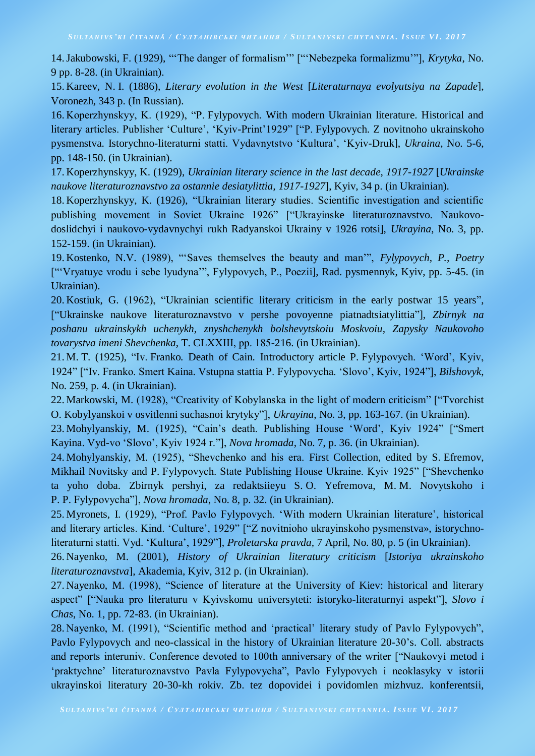14.Jakubowski, F. (1929), "'The danger of formalism'" ["'Nebezpeka formalizmu'"], *Krytyka*, No. 9 pp. 8-28. (in Ukrainian).

15. Kareev, N. I. (1886), *Literary evolution in the West* [*Literaturnaya evolyutsiya na Zapade*], Voronezh, 343 p. (In Russian).

16. Koperzhynskyy, K. (1929), "P. Fylypovych. With modern Ukrainian literature. Historical and literary articles. Publisher 'Culture', 'Kyiv-Print'1929" ["P. Fylypovych. Z novitnoho ukrainskoho pysmenstva. Istorychno-literaturni statti. Vydavnytstvo 'Kultura', 'Kyiv-Druk], *Ukraina*, No. 5-6, pp. 148-150. (in Ukrainian).

17. Koperzhynskyy, K. (1929), *Ukrainian literary science in the last decade, 1917-1927* [*Ukrainske naukove literaturoznavstvo za ostannie desiatylittia, 1917-1927*], Kyiv, 34 p. (in Ukrainian).

18. Koperzhynskyy, K. (1926), "Ukrainian literary studies. Scientific investigation and scientific publishing movement in Soviet Ukraine 1926" ["Ukrayinske literaturoznavstvo. Naukovodoslidchyi i naukovo-vydavnychyi rukh Radyanskoi Ukrainy v 1926 rotsi], *Ukrayina*, No. 3, pp. 152-159. (in Ukrainian).

19. Kostenko, N.V. (1989), "'Saves themselves the beauty and man'", *Fylypovych, P., Poetry* ["'Vryatuye vrodu i sebe lyudyna'", Fylypovych, P., Poezii], Rad. pysmennyk, Kyiv, pp. 5-45. (in Ukrainian).

20. Kostiuk, G. (1962), "Ukrainian scientific literary criticism in the early postwar 15 years", ["Ukrainske naukove literaturoznavstvo v pershe povoyenne piatnadtsiatylittia"], *Zbirnyk na poshanu ukrainskykh uchenykh, znyshchenykh bolshevytskoiu Moskvoiu, Zapysky Naukovoho tovarystva imeni Shevchenka*, T. CLХХІІІ, pp. 185-216. (in Ukrainian).

21. M. T. (1925), "Iv. Franko*.* Death of Cain. Introductory article P. Fylypovych. 'Word', Kyiv, 1924" ["Iv. Franko. Smert Kaina. Vstupna stattia P. Fylypovycha. 'Slovo', Kyiv, 1924"], *Bilshovyk*, No. 259, p. 4. (in Ukrainian).

22. Markowski, M. (1928), "Creativity of Kobylanska in the light of modern criticism" ["Tvorchist O. Kobylyanskoi v osvitlenni suchasnoi krytyky"], *Ukrayina*, No. 3, pp. 163-167. (in Ukrainian).

23. Mohylyanskiy, M. (1925), "Cain's death. Publishing House 'Word', Kyiv 1924" ["Smert Kayina. Vyd-vo 'Slovo', Kyiv 1924 r."], *Nova hromada*, No. 7, p. 36. (in Ukrainian).

24. Mohylyanskiy, M. (1925), "Shevchenko and his era. First Collection, edited by S. Efremov, Mikhail Novitsky and P. Fylypovych. State Publishing House Ukraine. Kyiv 1925" ["Shevchenko ta yoho doba. Zbirnyk pershyi, za redaktsiieyu S. O. Yefremova, M. M. Novytskoho i P. P. Fylypovycha"], *Nova hromada*, No. 8, p. 32. (in Ukrainian).

25. Myronets, I. (1929), "Prof. Pavlo Fylypovych. 'With modern Ukrainian literature', historical and literary articles. Kind. 'Culture', 1929" ["Z novitnioho ukrayinskoho pysmenstva», istorychnoliteraturni statti. Vyd. 'Kultura', 1929"], *Proletarska pravda,* 7 April, No. 80, p. 5 (in Ukrainian).

26. Nayenko, M. (2001), *History of Ukrainian literatury criticism* [*Istoriya ukrainskoho literaturoznavstva*], Akademia, Kyiv, 312 p. (in Ukrainian).

27. Nayenko, M. (1998), "Science of literature at the University of Kiev: historical and literary aspect" ["Nauka pro literaturu v Kyivskomu universyteti: istoryko-literaturnyi aspekt"], *Slovo i Chas*, No. 1, pp. 72-83. (in Ukrainian).

28. Nayenko, M. (1991), "Scientific method and 'practical' literary study of Pavlo Fylypovych", Pavlo Fylypovych and neo-classical in the history of Ukrainian literature 20-30's. Coll. abstracts and reports interuniv. Conference devoted to 100th anniversary of the writer ["Naukovyi metod i 'praktychne' literaturoznavstvo Pavla Fylypovycha", Pavlo Fylypovych i neoklasyky v istorii ukrayinskoi literatury 20-30-kh rokiv. Zb. tez dopovidei i povidomlen mizhvuz. konferentsii,